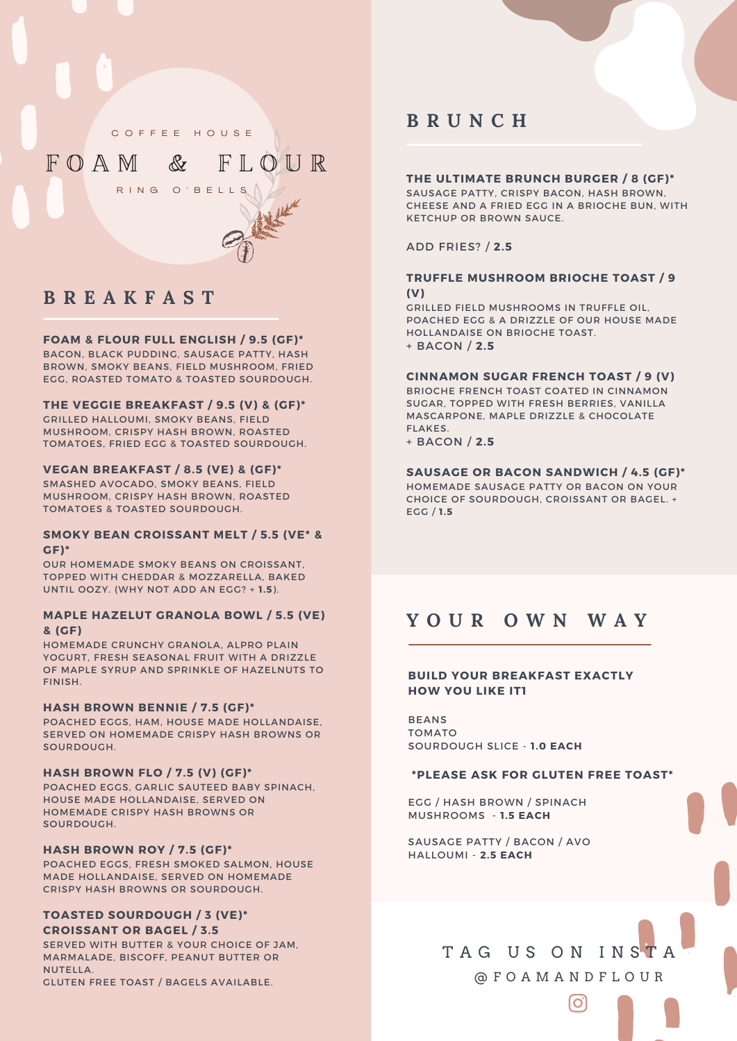C O F F E E H O U S E

F O A M & F L O U R

# R ING O'BELLS

## **B R E A K F A S T**

### **FOAM & FLOUR FULL ENGLISH / 9.5 (GF)\***

BACON, BLACK PUDDING, SAUSAGE PATTY, HASH BROWN, SMOKY BEANS, FIELD MUSHROOM, FRIED EGG, ROASTED TOMATO & TOASTED SOURDOUGH.

### **THE VEGGIE BREAKFAST / 9.5 (V) & (GF)\***

GRILLED HALLOUMI, SMOKY BEANS, FIELD MUSHROOM, CRISPY HASH BROWN, ROASTED TOMATOES, FRIED EGG & TOASTED SOURDOUGH.

### **VEGAN BREAKFAST / 8.5 (VE) & (GF)\***

SMASHED AVOCADO, SMOKY BEANS, FIELD MUSHROOM, CRISPY HASH BROWN, ROASTED TOMATOES & TOASTED SOURDOUGH.

### **SMOKY BEAN CROISSANT MELT / 5.5 (VE\* & GF)\***

OUR HOMEMADE SMOKY BEANS ON CROISSANT, TOPPED WITH CHEDDAR & MOZZARELLA, BAKED UNTIL OOZY. (WHY NOT ADD AN EGG? + **1.5**).

### **MAPLE HAZELUT GRANOLA BOWL / 5.5 (VE) & (GF)**

HOMEMADE CRUNCHY GRANOLA, ALPRO PLAIN YOGURT, FRESH SEASONAL FRUIT WITH A DRIZZLE OF MAPLE SYRUP AND SPRINKLE OF HAZELNUTS TO FINISH.

### **HASH BROWN BENNIE / 7.5 (GF)\***

POACHED EGGS, HAM, HOUSE MADE HOLLANDAISE, SERVED ON HOMEMADE CRISPY HASH BROWNS OR SOURDOUGH.

#### **HASH BROWN FLO / 7.5 (V) (GF)\***

POACHED EGGS, GARLIC SAUTEED BABY SPINACH, HOUSE MADE HOLLANDAISE, SERVED ON HOMEMADE CRISPY HASH BROWNS OR SOURDOUGH.

### **HASH BROWN ROY / 7.5 (GF)\***

POACHED EGGS, FRESH SMOKED SALMON, HOUSE MADE HOLLANDAISE, SERVED ON HOMEMADE CRISPY HASH BROWNS OR SOURDOUGH.

### **TOASTED SOURDOUGH / 3 (VE)\* CROISSANT OR BAGEL / 3.5**

SERVED WITH BUTTER & YOUR CHOICE OF JAM, MARMALADE, BISCOFF, PEANUT BUTTER OR NUTELLA.

GLUTEN FREE TOAST / BAGELS AVAILABLE.

### **B R U N C H**

### **THE ULTIMATE BRUNCH BURGER / 8 (GF)\***

SAUSAGE PATTY, CRISPY BACON, HASH BROWN, CHEESE AND A FRIED EGG IN A BRIOCHE BUN, WITH KETCHUP OR BROWN SAUCE.

ADD FRIES? / **2.5**

### **TRUFFLE MUSHROOM BRIOCHE TOAST / 9 (V)**

GRILLED FIELD MUSHROOMS IN TRUFFLE OIL, POACHED EGG & A DRIZZLE OF OUR HOUSE MADE HOLLANDAISE ON BRIOCHE TOAST. + BACON / **2.5**

#### **CINNAMON SUGAR FRENCH TOAST / 9 (V)**

BRIOCHE FRENCH TOAST COATED IN CINNAMON SUGAR, TOPPED WITH FRESH BERRIES, VANILLA MASCARPONE, MAPLE DRIZZLE & CHOCOLATE FLAKES.

+ BACON / **2.5**

### **SAUSAGE OR BACON SANDWICH / 4.5 (GF)\***

HOMEMADE SAUSAGE PATTY OR BACON ON YOUR CHOICE OF SOURDOUGH, CROISSANT OR BAGEL. + EGG / **1.5**

### **Y O U R O W N W A Y**

### **BUILD YOUR BREAKFAST EXACTLY HOW YOU LIKE IT1**

BEANS TOMATO SOURDOUGH SLICE - **1.0 EACH**

### **\*PLEASE ASK FOR GLUTEN FREE TOAST\***

EGG / HASH BROWN / SPINACH MUSHROOMS - **1.5 EACH**

SAUSAGE PATTY / BACON / AVO HALLOUMI - **2.5 EACH**

## TAG US ON INSTA @ F O A M A N D F L O U R

O